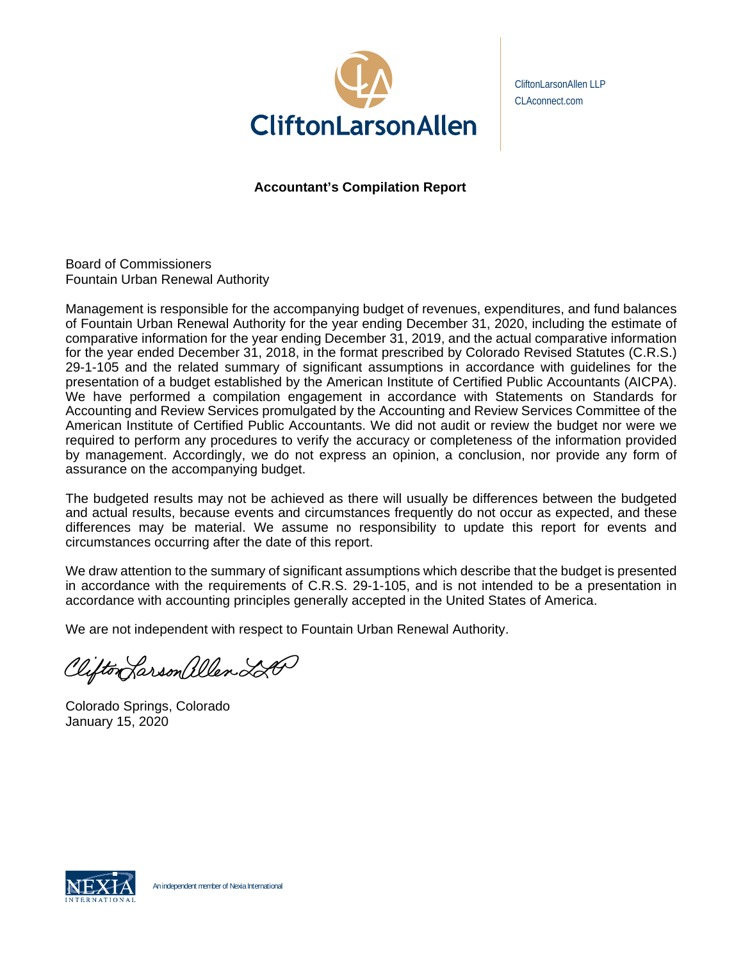

CliftonLarsonAllen LLP CLAconnect.com

**Accountant's Compilation Report** 

Board of Commissioners Fountain Urban Renewal Authority

Management is responsible for the accompanying budget of revenues, expenditures, and fund balances of Fountain Urban Renewal Authority for the year ending December 31, 2020, including the estimate of comparative information for the year ending December 31, 2019, and the actual comparative information for the year ended December 31, 2018, in the format prescribed by Colorado Revised Statutes (C.R.S.) 29-1-105 and the related summary of significant assumptions in accordance with guidelines for the presentation of a budget established by the American Institute of Certified Public Accountants (AICPA). We have performed a compilation engagement in accordance with Statements on Standards for Accounting and Review Services promulgated by the Accounting and Review Services Committee of the American Institute of Certified Public Accountants. We did not audit or review the budget nor were we required to perform any procedures to verify the accuracy or completeness of the information provided by management. Accordingly, we do not express an opinion, a conclusion, nor provide any form of assurance on the accompanying budget.

The budgeted results may not be achieved as there will usually be differences between the budgeted and actual results, because events and circumstances frequently do not occur as expected, and these differences may be material. We assume no responsibility to update this report for events and circumstances occurring after the date of this report.

We draw attention to the summary of significant assumptions which describe that the budget is presented in accordance with the requirements of C.R.S. 29-1-105, and is not intended to be a presentation in accordance with accounting principles generally accepted in the United States of America.

We are not independent with respect to Fountain Urban Renewal Authority.

Clifton Larson allen LA

Colorado Springs, Colorado January 15, 2020

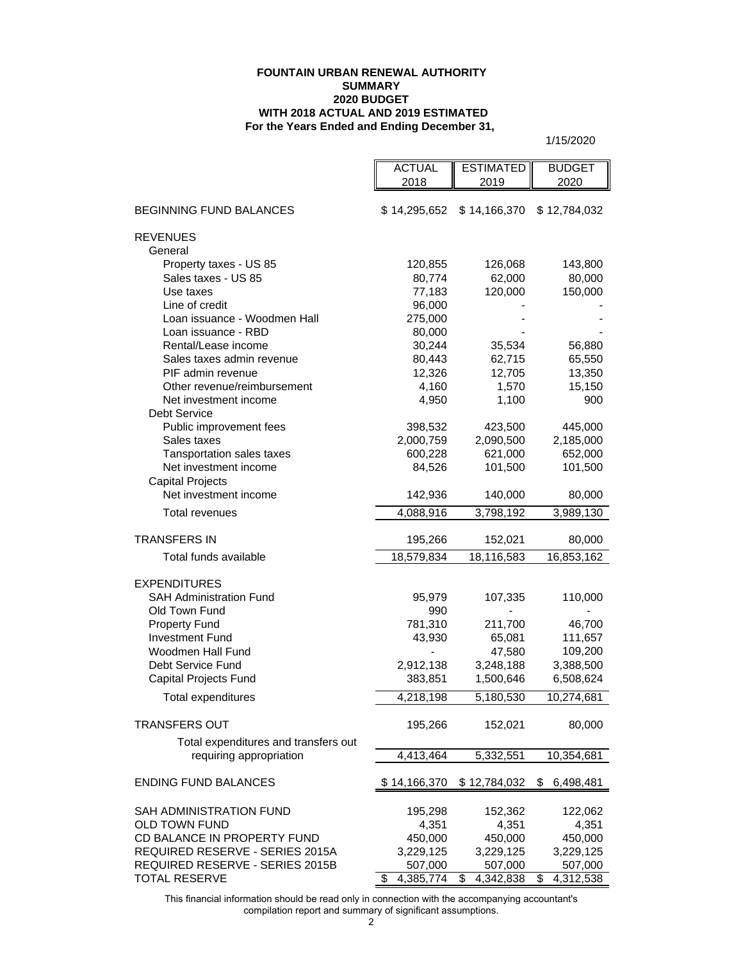#### **For the Years Ended and Ending December 31, FOUNTAIN URBAN RENEWAL AUTHORITY SUMMARY 2020 BUDGET WITH 2018 ACTUAL AND 2019 ESTIMATED**

1/15/2020

| 2018<br>2019<br>2020<br><b>BEGINNING FUND BALANCES</b><br>\$14,166,370<br>\$ 14,295,652<br>\$12,784,032<br><b>REVENUES</b><br>General<br>Property taxes - US 85<br>126,068<br>120,855 | 143,800<br>80,000<br>150,000 |
|---------------------------------------------------------------------------------------------------------------------------------------------------------------------------------------|------------------------------|
|                                                                                                                                                                                       |                              |
|                                                                                                                                                                                       |                              |
|                                                                                                                                                                                       |                              |
|                                                                                                                                                                                       |                              |
| Sales taxes - US 85<br>80,774<br>62,000                                                                                                                                               |                              |
| 120,000<br>Use taxes<br>77,183                                                                                                                                                        |                              |
| Line of credit<br>96,000                                                                                                                                                              |                              |
| Loan issuance - Woodmen Hall<br>275,000                                                                                                                                               |                              |
| Loan issuance - RBD<br>80,000                                                                                                                                                         |                              |
| Rental/Lease income<br>30,244<br>35,534                                                                                                                                               | 56,880                       |
| Sales taxes admin revenue<br>80,443<br>62,715                                                                                                                                         | 65,550                       |
| PIF admin revenue<br>12,326<br>12,705                                                                                                                                                 | 13,350                       |
| Other revenue/reimbursement<br>4,160<br>1,570                                                                                                                                         | 15,150                       |
| Net investment income<br>4,950<br>1,100                                                                                                                                               | 900                          |
| <b>Debt Service</b>                                                                                                                                                                   |                              |
| Public improvement fees<br>398,532<br>423,500                                                                                                                                         | 445,000                      |
| Sales taxes<br>2,000,759<br>2,090,500<br>2,185,000                                                                                                                                    |                              |
| Tansportation sales taxes<br>600,228<br>621,000                                                                                                                                       | 652,000                      |
| Net investment income<br>84,526<br>101,500                                                                                                                                            | 101,500                      |
| <b>Capital Projects</b>                                                                                                                                                               |                              |
| Net investment income<br>142,936<br>140,000                                                                                                                                           | 80,000                       |
| 3,989,130<br>Total revenues<br>4,088,916<br>3,798,192                                                                                                                                 |                              |
| <b>TRANSFERS IN</b><br>195,266<br>152,021                                                                                                                                             | 80,000                       |
| Total funds available<br>18,579,834<br>18,116,583<br>16,853,162                                                                                                                       |                              |
|                                                                                                                                                                                       |                              |
| <b>EXPENDITURES</b>                                                                                                                                                                   |                              |
| <b>SAH Administration Fund</b><br>107,335<br>95,979                                                                                                                                   | 110,000                      |
| Old Town Fund<br>990                                                                                                                                                                  |                              |
| <b>Property Fund</b><br>781,310<br>211,700                                                                                                                                            | 46,700                       |
| <b>Investment Fund</b><br>43,930<br>65,081                                                                                                                                            | 111,657                      |
| Woodmen Hall Fund<br>47,580                                                                                                                                                           | 109,200                      |
| Debt Service Fund<br>2,912,138<br>3,388,500<br>3,248,188                                                                                                                              |                              |
| Capital Projects Fund<br>383,851<br>1,500,646<br>6,508,624                                                                                                                            |                              |
| 4,218,198<br>10,274,681<br><b>Total expenditures</b><br>5,180,530                                                                                                                     |                              |
| <b>TRANSFERS OUT</b><br>195,266<br>152,021                                                                                                                                            | 80,000                       |
| Total expenditures and transfers out                                                                                                                                                  |                              |
| requiring appropriation<br>4,413,464                                                                                                                                                  |                              |
| 5,332,551<br>10,354,681                                                                                                                                                               |                              |
| <b>ENDING FUND BALANCES</b><br>\$12,784,032<br>6,498,481<br>\$14,166,370<br>S                                                                                                         |                              |
| SAH ADMINISTRATION FUND<br>195,298<br>152,362                                                                                                                                         | 122,062                      |
| <b>OLD TOWN FUND</b><br>4,351<br>4,351                                                                                                                                                | 4,351                        |
| CD BALANCE IN PROPERTY FUND<br>450,000<br>450,000                                                                                                                                     | 450,000                      |
| REQUIRED RESERVE - SERIES 2015A<br>3,229,125<br>3,229,125<br>3,229,125                                                                                                                |                              |
| REQUIRED RESERVE - SERIES 2015B<br>507,000<br>507,000                                                                                                                                 | 507,000                      |
| 4,312,538<br><b>TOTAL RESERVE</b><br>\$<br>4,385,774<br>\$<br>4,342,838<br>\$                                                                                                         |                              |

This financial information should be read only in connection with the accompanying accountant's compilation report and summary of significant assumptions.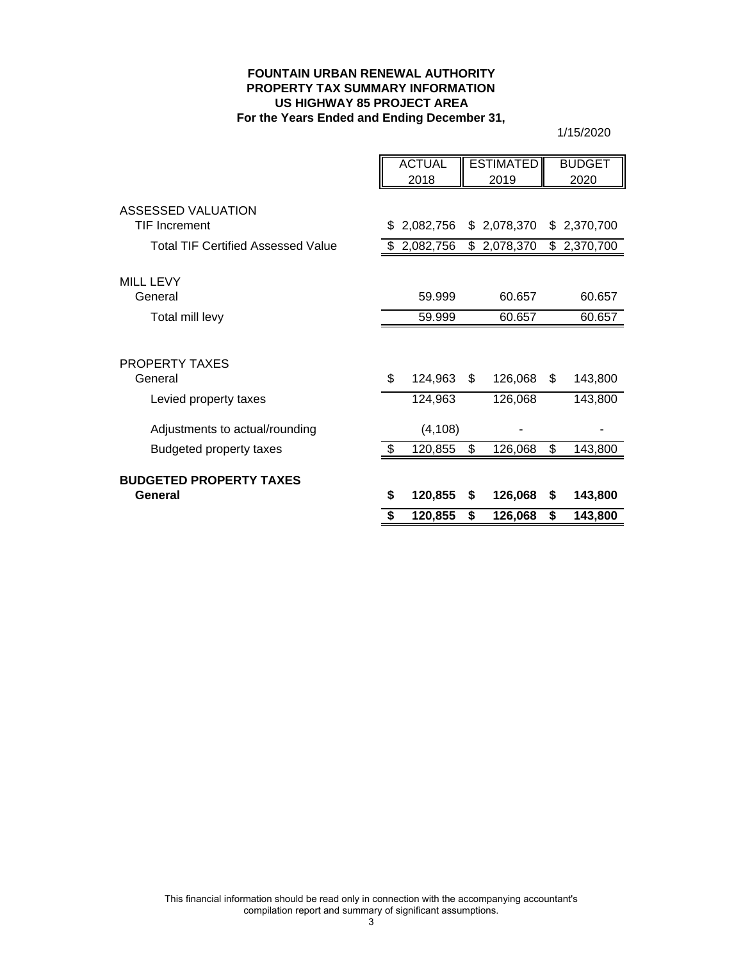#### **FOUNTAIN URBAN RENEWAL AUTHORITY PROPERTY TAX SUMMARY INFORMATION For the Years Ended and Ending December 31, US HIGHWAY 85 PROJECT AREA**

|                                           |     | <b>ACTUAL</b> |     | <b>ESTIMATED</b> |     | <b>BUDGET</b> |
|-------------------------------------------|-----|---------------|-----|------------------|-----|---------------|
|                                           |     | 2018          |     | 2019             |     | 2020          |
|                                           |     |               |     |                  |     |               |
| ASSESSED VALUATION                        |     |               |     |                  |     |               |
| <b>TIF Increment</b>                      | \$  | 2,082,756     |     | \$2,078,370      |     | \$2,370,700   |
| <b>Total TIF Certified Assessed Value</b> |     | 2,082,756     |     | \$2,078,370      |     | \$2,370,700   |
|                                           |     |               |     |                  |     |               |
| <b>MILL LEVY</b>                          |     |               |     |                  |     |               |
| General                                   |     | 59.999        |     | 60.657           |     | 60.657        |
| Total mill levy                           |     | 59.999        |     | 60.657           |     | 60.657        |
|                                           |     |               |     |                  |     |               |
| PROPERTY TAXES                            |     |               |     |                  |     |               |
| General                                   | \$  | 124,963       | \$. | 126,068          | \$. | 143,800       |
| Levied property taxes                     |     | 124,963       |     | 126,068          |     | 143,800       |
| Adjustments to actual/rounding            |     | (4, 108)      |     |                  |     |               |
| <b>Budgeted property taxes</b>            | \$. | 120,855       | \$  | 126,068          | \$  | 143,800       |
|                                           |     |               |     |                  |     |               |
| <b>BUDGETED PROPERTY TAXES</b>            |     |               |     |                  |     |               |
| General                                   | \$  | 120,855       | S   | 126,068          | S   | 143,800       |
|                                           | \$  | 120,855       | \$  | 126,068          | \$  | 143,800       |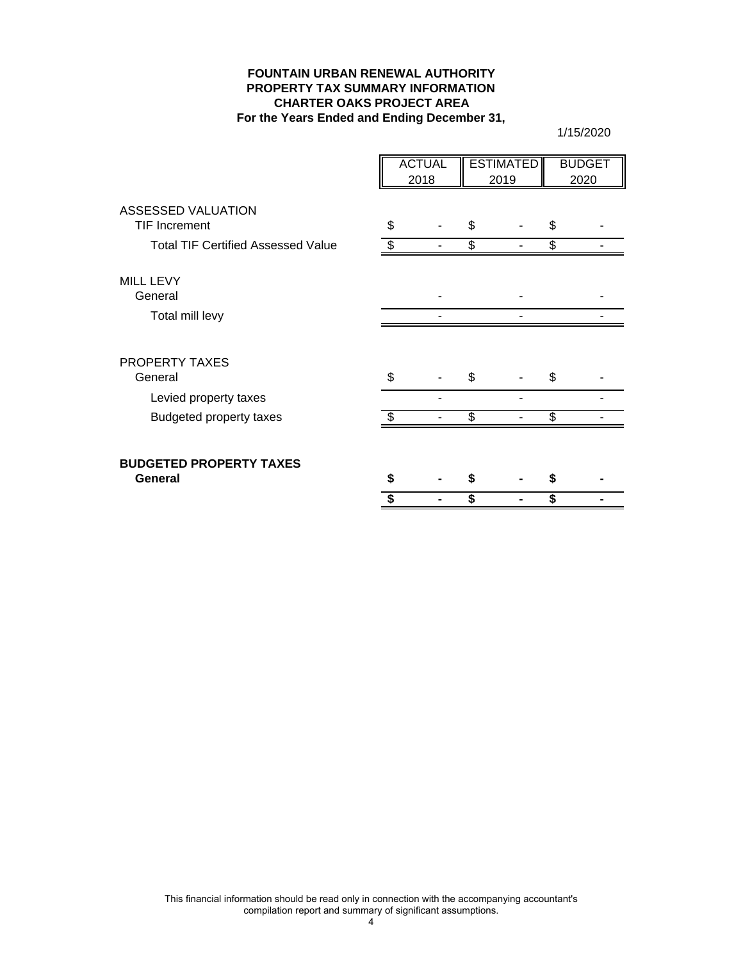#### **FOUNTAIN URBAN RENEWAL AUTHORITY PROPERTY TAX SUMMARY INFORMATION CHARTER OAKS PROJECT AREA For the Years Ended and Ending December 31,**

|                                           | <b>ACTUAL</b><br>2018 |  | <b>ESTIMATED</b><br>2019 |  | <b>BUDGET</b><br>2020 |
|-------------------------------------------|-----------------------|--|--------------------------|--|-----------------------|
| ASSESSED VALUATION                        |                       |  |                          |  |                       |
| <b>TIF Increment</b>                      | \$                    |  | \$                       |  | \$                    |
| <b>Total TIF Certified Assessed Value</b> | \$                    |  | \$                       |  | \$                    |
| <b>MILL LEVY</b>                          |                       |  |                          |  |                       |
| General                                   |                       |  |                          |  |                       |
| Total mill levy                           |                       |  |                          |  |                       |
| <b>PROPERTY TAXES</b>                     |                       |  |                          |  |                       |
| General                                   | \$                    |  | \$                       |  | \$                    |
| Levied property taxes                     |                       |  |                          |  |                       |
| <b>Budgeted property taxes</b>            |                       |  | \$                       |  | \$                    |
| <b>BUDGETED PROPERTY TAXES</b>            |                       |  |                          |  |                       |
| General                                   | S                     |  |                          |  |                       |
|                                           | S                     |  |                          |  | \$                    |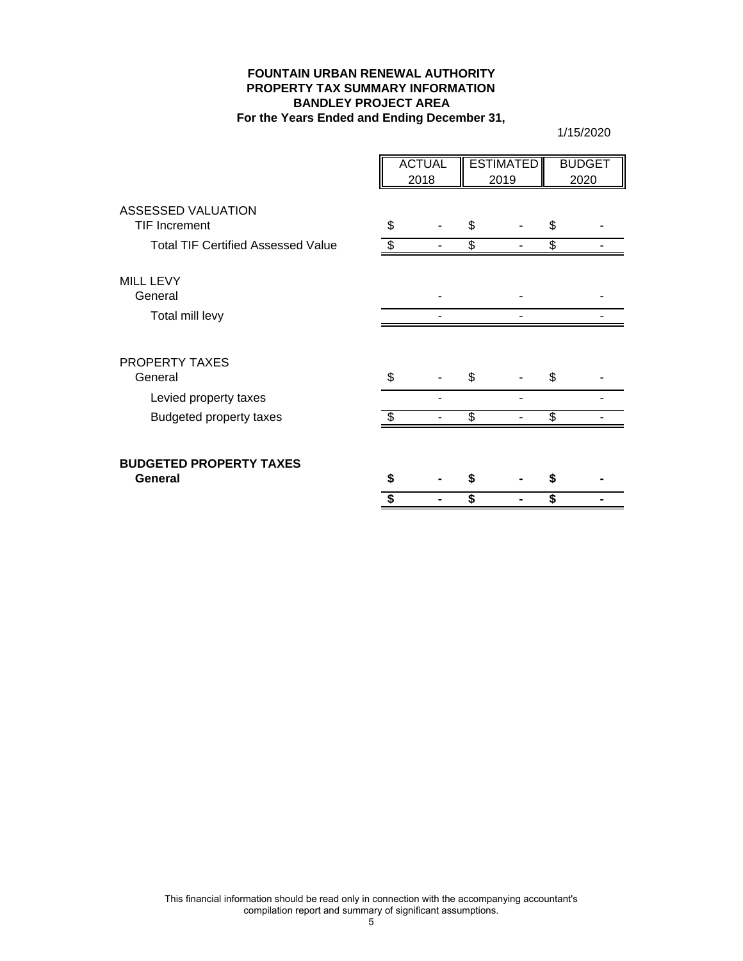#### **FOUNTAIN URBAN RENEWAL AUTHORITY PROPERTY TAX SUMMARY INFORMATION BANDLEY PROJECT AREA For the Years Ended and Ending December 31,**

|                                            | <b>ACTUAL</b><br>2018 |  | <b>ESTIMATED</b><br>2019 |  |    | <b>BUDGET</b><br>2020 |
|--------------------------------------------|-----------------------|--|--------------------------|--|----|-----------------------|
| ASSESSED VALUATION<br><b>TIF Increment</b> | \$                    |  | \$                       |  | \$ |                       |
| <b>Total TIF Certified Assessed Value</b>  | \$.                   |  | \$                       |  | \$ |                       |
| <b>MILL LEVY</b><br>General                |                       |  |                          |  |    |                       |
| Total mill levy                            |                       |  |                          |  |    |                       |
| <b>PROPERTY TAXES</b><br>General           | \$                    |  | \$                       |  | \$ |                       |
| Levied property taxes                      |                       |  |                          |  |    |                       |
| Budgeted property taxes                    | \$                    |  | \$                       |  | \$ |                       |
| <b>BUDGETED PROPERTY TAXES</b><br>General  | S                     |  |                          |  | S  |                       |
|                                            | ፍ                     |  |                          |  | \$ |                       |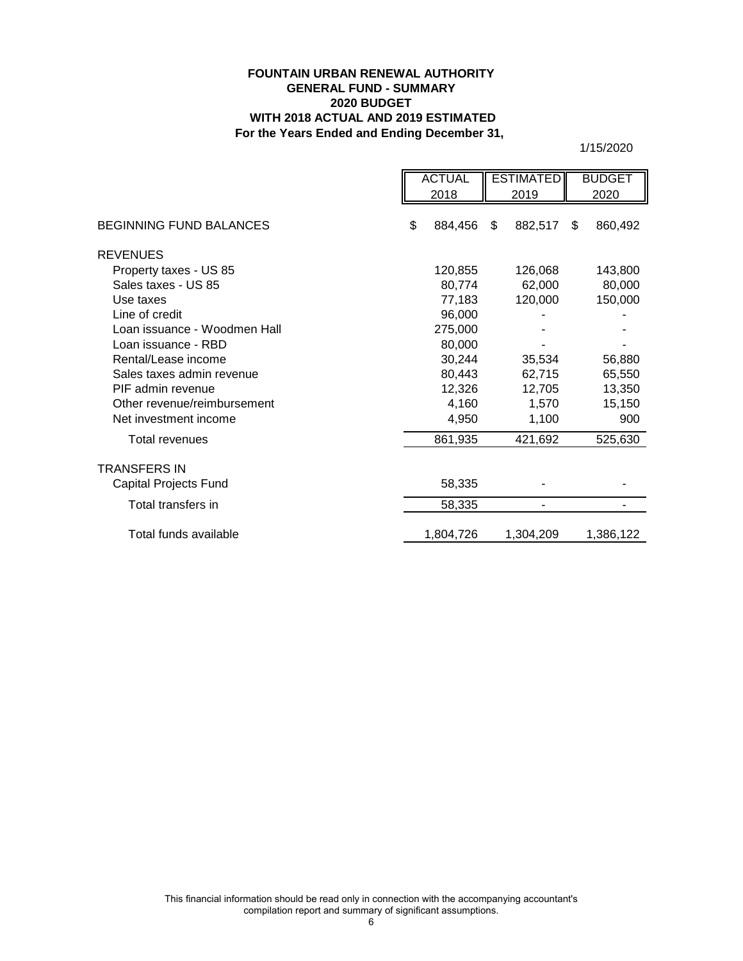## **For the Years Ended and Ending December 31, FOUNTAIN URBAN RENEWAL AUTHORITY GENERAL FUND - SUMMARY 2020 BUDGET WITH 2018 ACTUAL AND 2019 ESTIMATED**

|                                | <b>ACTUAL</b><br>2018 |           | <b>ESTIMATED</b><br>2019 |           | <b>BUDGET</b><br>2020 |
|--------------------------------|-----------------------|-----------|--------------------------|-----------|-----------------------|
| <b>BEGINNING FUND BALANCES</b> | \$                    | 884,456   | \$                       | 882,517   | \$<br>860,492         |
|                                |                       |           |                          |           |                       |
| <b>REVENUES</b>                |                       |           |                          |           |                       |
| Property taxes - US 85         |                       | 120,855   |                          | 126,068   | 143,800               |
| Sales taxes - US 85            |                       | 80,774    |                          | 62,000    | 80,000                |
| Use taxes                      |                       | 77,183    |                          | 120,000   | 150,000               |
| Line of credit                 |                       | 96,000    |                          |           |                       |
| Loan issuance - Woodmen Hall   |                       | 275,000   |                          |           |                       |
| Loan issuance - RBD            |                       | 80,000    |                          |           |                       |
| Rental/Lease income            |                       | 30,244    |                          | 35,534    | 56,880                |
| Sales taxes admin revenue      |                       | 80,443    |                          | 62,715    | 65,550                |
| PIF admin revenue              |                       | 12,326    |                          | 12,705    | 13,350                |
| Other revenue/reimbursement    |                       | 4,160     |                          | 1,570     | 15,150                |
| Net investment income          |                       | 4,950     |                          | 1,100     | 900                   |
| <b>Total revenues</b>          |                       | 861,935   |                          | 421,692   | 525,630               |
| TRANSFERS IN                   |                       |           |                          |           |                       |
| Capital Projects Fund          |                       | 58,335    |                          |           |                       |
| Total transfers in             |                       | 58,335    |                          |           |                       |
| Total funds available          |                       | 1,804,726 |                          | 1,304,209 | 1,386,122             |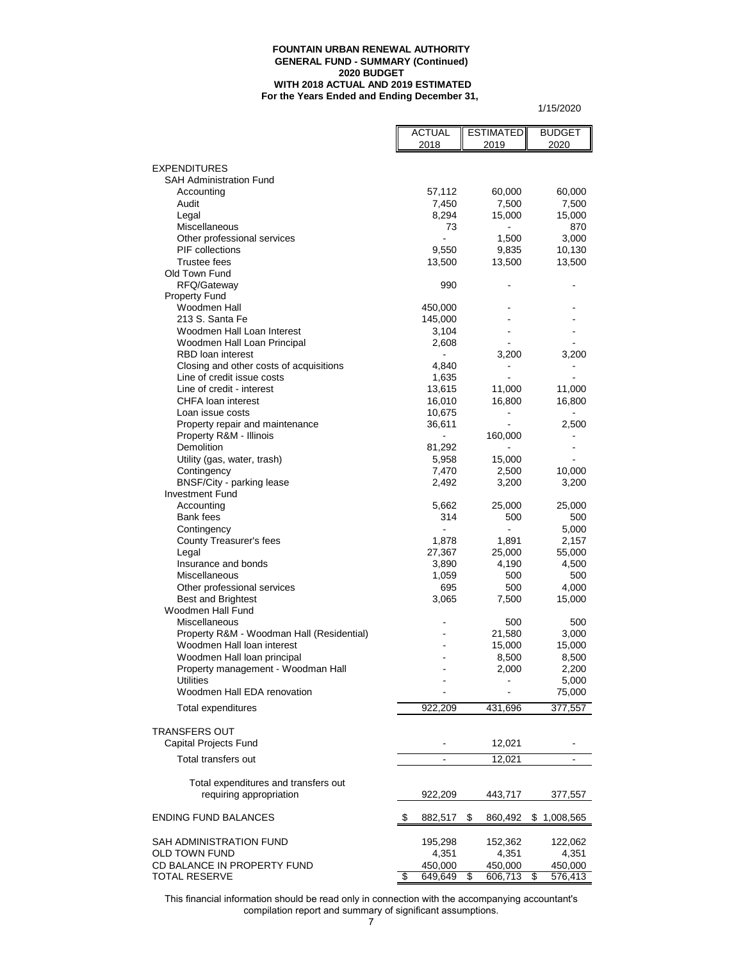#### **FOUNTAIN URBAN RENEWAL AUTHORITY GENERAL FUND - SUMMARY (Continued) 2020 BUDGET WITH 2018 ACTUAL AND 2019 ESTIMATED For the Years Ended and Ending December 31,**

1/15/2020

|                                                        | <b>ACTUAL</b>    | <b>ESTIMATED</b> | <b>BUDGET</b>   |
|--------------------------------------------------------|------------------|------------------|-----------------|
|                                                        | 2018             | 2019             | 2020            |
| <b>EXPENDITURES</b>                                    |                  |                  |                 |
| <b>SAH Administration Fund</b>                         |                  |                  |                 |
| Accounting                                             | 57,112           | 60,000           | 60,000          |
| Audit                                                  | 7,450            | 7,500            | 7,500           |
| Legal                                                  | 8,294            | 15,000           | 15,000          |
| Miscellaneous                                          | 73               | ۰                | 870             |
| Other professional services                            | $\overline{a}$   | 1,500            | 3,000           |
| <b>PIF</b> collections<br>Trustee fees                 | 9,550            | 9,835            | 10,130          |
| Old Town Fund                                          | 13,500           | 13,500           | 13,500          |
| RFQ/Gateway                                            | 990              |                  |                 |
| <b>Property Fund</b>                                   |                  |                  |                 |
| Woodmen Hall                                           | 450,000          |                  |                 |
| 213 S. Santa Fe                                        | 145,000          |                  |                 |
| Woodmen Hall Loan Interest                             | 3,104            |                  |                 |
| Woodmen Hall Loan Principal                            | 2,608            |                  |                 |
| RBD loan interest                                      |                  | 3,200            | 3,200           |
| Closing and other costs of acquisitions                | 4,840            |                  |                 |
| Line of credit issue costs                             | 1,635            |                  |                 |
| Line of credit - interest<br>CHFA loan interest        | 13,615           | 11,000           | 11,000          |
| Loan issue costs                                       | 16,010<br>10,675 | 16,800<br>۰      | 16,800          |
| Property repair and maintenance                        | 36,611           |                  | 2,500           |
| Property R&M - Illinois                                |                  | 160,000          |                 |
| Demolition                                             | 81,292           |                  |                 |
| Utility (gas, water, trash)                            | 5,958            | 15,000           |                 |
| Contingency                                            | 7,470            | 2,500            | 10,000          |
| BNSF/City - parking lease                              | 2,492            | 3,200            | 3,200           |
| <b>Investment Fund</b>                                 |                  |                  |                 |
| Accounting                                             | 5,662            | 25,000           | 25,000          |
| Bank fees                                              | 314              | 500              | 500             |
| Contingency                                            | ÷,               | $\blacksquare$   | 5,000           |
| County Treasurer's fees<br>Legal                       | 1,878<br>27,367  | 1,891<br>25,000  | 2,157<br>55,000 |
| Insurance and bonds                                    | 3,890            | 4,190            | 4,500           |
| Miscellaneous                                          | 1,059            | 500              | 500             |
| Other professional services                            | 695              | 500              | 4,000           |
| <b>Best and Brightest</b>                              | 3,065            | 7,500            | 15,000          |
| Woodmen Hall Fund                                      |                  |                  |                 |
| Miscellaneous                                          |                  | 500              | 500             |
| Property R&M - Woodman Hall (Residential)              |                  | 21,580           | 3,000           |
| Woodmen Hall loan interest                             |                  | 15,000           | 15,000          |
| Woodmen Hall loan principal                            |                  | 8,500            | 8,500           |
| Property management - Woodman Hall<br><b>Utilities</b> |                  | 2,000            | 2,200           |
| Woodmen Hall EDA renovation                            |                  |                  | 5,000<br>75,000 |
|                                                        |                  |                  |                 |
| Total expenditures                                     | 922,209          | 431,696          | 377,557         |
|                                                        |                  |                  |                 |
| <b>TRANSFERS OUT</b>                                   |                  |                  |                 |
| Capital Projects Fund                                  |                  | 12,021           |                 |
| Total transfers out                                    |                  | 12,021           |                 |
|                                                        |                  |                  |                 |
| Total expenditures and transfers out                   |                  |                  |                 |
| requiring appropriation                                | 922,209          | 443,717          | 377,557         |
| <b>ENDING FUND BALANCES</b>                            | \$<br>882,517    | 860,492<br>\$    | \$1,008,565     |
|                                                        |                  |                  |                 |
| SAH ADMINISTRATION FUND                                | 195,298          | 152,362          | 122,062         |
| OLD TOWN FUND                                          | 4,351            | 4,351            | 4,351           |
| CD BALANCE IN PROPERTY FUND                            | 450,000          | 450,000          | 450,000         |
| <b>TOTAL RESERVE</b>                                   | \$<br>649,649    | 606,713<br>\$    | 576,413<br>\$   |

This financial information should be read only in connection with the accompanying accountant's compilation report and summary of significant assumptions.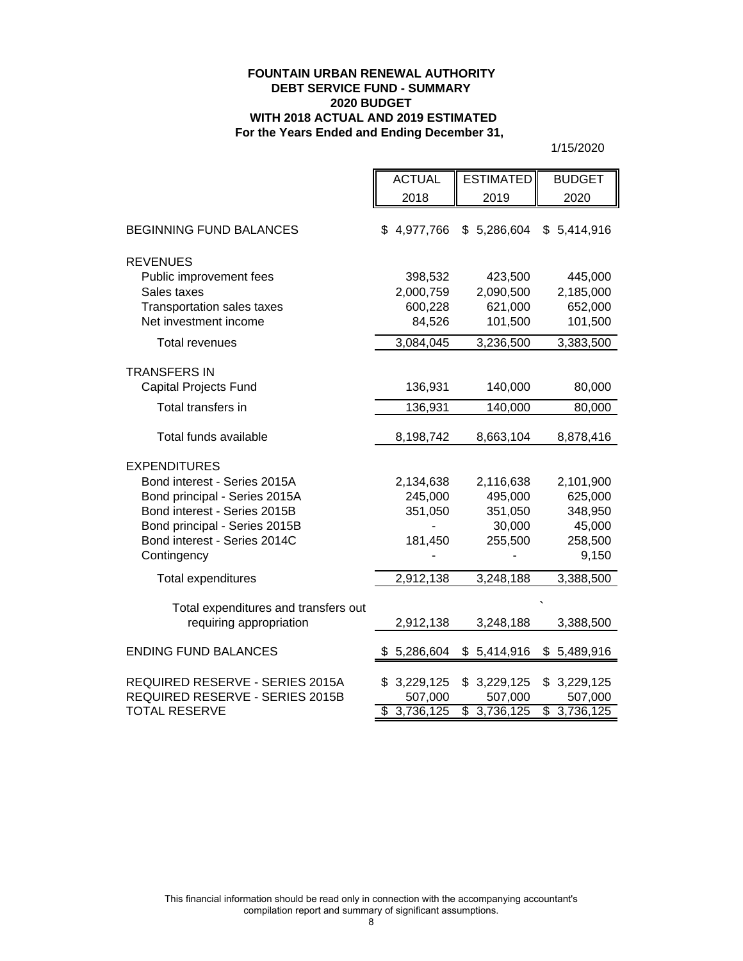## **FOUNTAIN URBAN RENEWAL AUTHORITY DEBT SERVICE FUND - SUMMARY 2020 BUDGET WITH 2018 ACTUAL AND 2019 ESTIMATED For the Years Ended and Ending December 31,**

|                                                                 | <b>ACTUAL</b>   | <b>ESTIMATED</b> | <b>BUDGET</b>          |
|-----------------------------------------------------------------|-----------------|------------------|------------------------|
|                                                                 | 2018            | 2019             | 2020                   |
| <b>BEGINNING FUND BALANCES</b>                                  | \$4,977,766     | \$5,286,604      | \$5,414,916            |
| <b>REVENUES</b>                                                 |                 |                  |                        |
| Public improvement fees                                         | 398,532         | 423,500          | 445,000                |
| Sales taxes                                                     | 2,000,759       | 2,090,500        | 2,185,000              |
| Transportation sales taxes                                      | 600,228         | 621,000          | 652,000                |
| Net investment income                                           | 84,526          | 101,500          | 101,500                |
| <b>Total revenues</b>                                           | 3,084,045       | 3,236,500        | 3,383,500              |
| <b>TRANSFERS IN</b>                                             |                 |                  |                        |
| Capital Projects Fund                                           | 136,931         | 140,000          | 80,000                 |
| Total transfers in                                              | 136,931         | 140,000          | 80,000                 |
| Total funds available                                           | 8,198,742       | 8,663,104        | 8,878,416              |
| <b>EXPENDITURES</b>                                             |                 |                  |                        |
| Bond interest - Series 2015A                                    | 2,134,638       | 2,116,638        | 2,101,900              |
| Bond principal - Series 2015A                                   | 245,000         | 495,000          | 625,000                |
| Bond interest - Series 2015B                                    | 351,050         | 351,050          | 348,950                |
| Bond principal - Series 2015B                                   |                 | 30,000           | 45,000                 |
| Bond interest - Series 2014C                                    | 181,450         | 255,500          | 258,500                |
| Contingency                                                     |                 |                  | 9,150                  |
| <b>Total expenditures</b>                                       | 2,912,138       | 3,248,188        | 3,388,500              |
|                                                                 |                 |                  |                        |
| Total expenditures and transfers out<br>requiring appropriation | 2,912,138       | 3,248,188        | 3,388,500              |
| <b>ENDING FUND BALANCES</b>                                     | 5,286,604<br>\$ | \$5,414,916      | \$5,489,916            |
| REQUIRED RESERVE - SERIES 2015A                                 | 3,229,125<br>\$ | \$3,229,125      | 3,229,125<br>\$        |
| REQUIRED RESERVE - SERIES 2015B                                 | 507,000         | 507,000          | 507,000                |
| <b>TOTAL RESERVE</b>                                            | \$<br>3,736,125 | \$3,736,125      | $\overline{3,736,125}$ |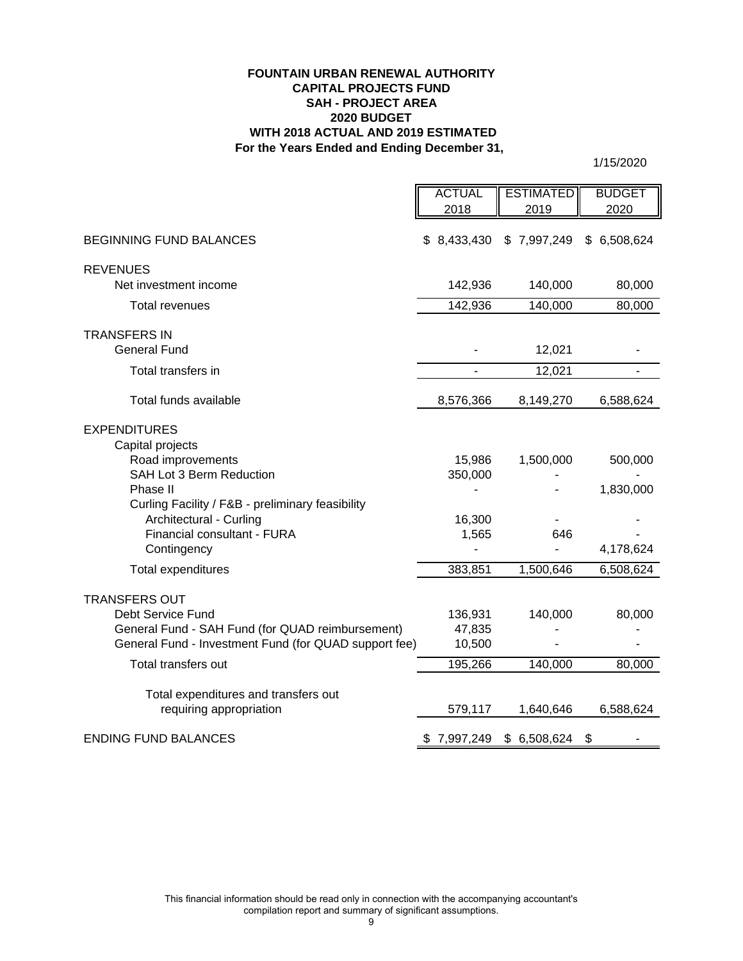#### **For the Years Ended and Ending December 31, FOUNTAIN URBAN RENEWAL AUTHORITY CAPITAL PROJECTS FUND 2020 BUDGET WITH 2018 ACTUAL AND 2019 ESTIMATED SAH - PROJECT AREA**

|                                                                 | <b>ACTUAL</b> | <b>ESTIMATED</b> | <b>BUDGET</b> |
|-----------------------------------------------------------------|---------------|------------------|---------------|
|                                                                 | 2018          | 2019             | 2020          |
| <b>BEGINNING FUND BALANCES</b>                                  | \$8,433,430   | \$7,997,249      | \$6,508,624   |
| <b>REVENUES</b>                                                 |               |                  |               |
| Net investment income                                           | 142,936       | 140,000          | 80,000        |
| <b>Total revenues</b>                                           | 142,936       | 140,000          | 80,000        |
| <b>TRANSFERS IN</b><br><b>General Fund</b>                      |               | 12,021           |               |
| Total transfers in                                              |               | 12,021           |               |
| Total funds available                                           | 8,576,366     | 8,149,270        | 6,588,624     |
| <b>EXPENDITURES</b><br>Capital projects                         |               |                  |               |
| Road improvements                                               | 15,986        | 1,500,000        | 500,000       |
| SAH Lot 3 Berm Reduction                                        | 350,000       |                  |               |
| Phase II<br>Curling Facility / F&B - preliminary feasibility    |               |                  | 1,830,000     |
| Architectural - Curling                                         | 16,300        |                  |               |
| Financial consultant - FURA                                     | 1,565         | 646              |               |
| Contingency                                                     |               |                  | 4,178,624     |
| Total expenditures                                              | 383,851       | 1,500,646        | 6,508,624     |
| <b>TRANSFERS OUT</b>                                            |               |                  |               |
| Debt Service Fund                                               | 136,931       | 140,000          | 80,000        |
| General Fund - SAH Fund (for QUAD reimbursement)                | 47,835        |                  |               |
| General Fund - Investment Fund (for QUAD support fee)           | 10,500        |                  |               |
| Total transfers out                                             | 195,266       | 140,000          | 80,000        |
| Total expenditures and transfers out<br>requiring appropriation | 579,117       | 1,640,646        | 6,588,624     |
| <b>ENDING FUND BALANCES</b>                                     | \$7,997,249   | \$6,508,624      | \$            |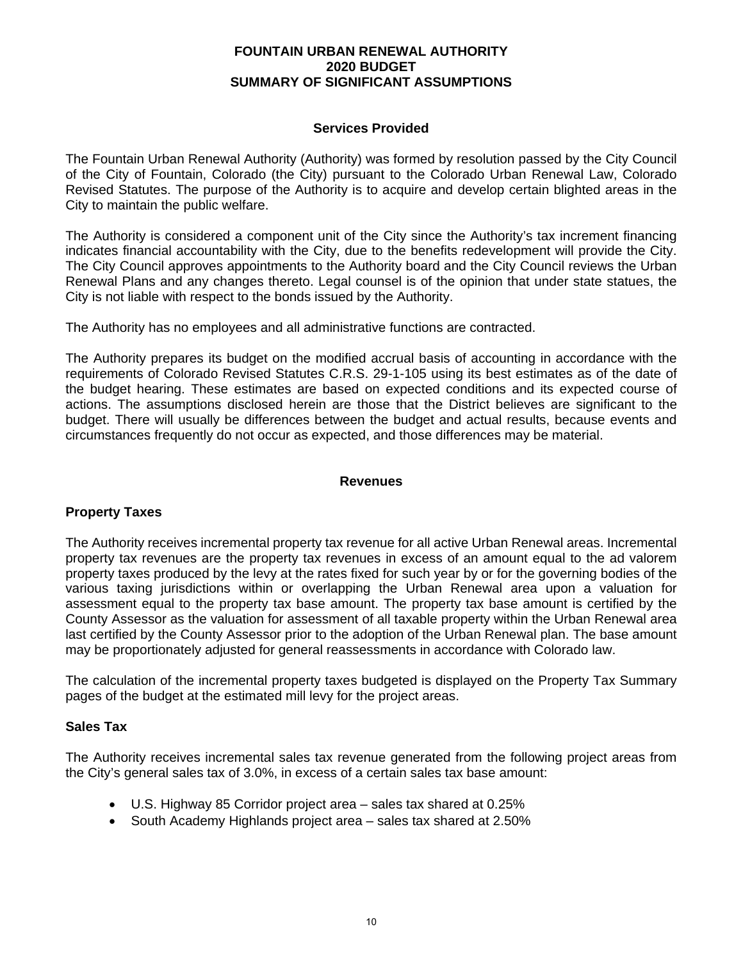## **Services Provided**

The Fountain Urban Renewal Authority (Authority) was formed by resolution passed by the City Council of the City of Fountain, Colorado (the City) pursuant to the Colorado Urban Renewal Law, Colorado Revised Statutes. The purpose of the Authority is to acquire and develop certain blighted areas in the City to maintain the public welfare.

The Authority is considered a component unit of the City since the Authority's tax increment financing indicates financial accountability with the City, due to the benefits redevelopment will provide the City. The City Council approves appointments to the Authority board and the City Council reviews the Urban Renewal Plans and any changes thereto. Legal counsel is of the opinion that under state statues, the City is not liable with respect to the bonds issued by the Authority.

The Authority has no employees and all administrative functions are contracted.

The Authority prepares its budget on the modified accrual basis of accounting in accordance with the requirements of Colorado Revised Statutes C.R.S. 29-1-105 using its best estimates as of the date of the budget hearing. These estimates are based on expected conditions and its expected course of actions. The assumptions disclosed herein are those that the District believes are significant to the budget. There will usually be differences between the budget and actual results, because events and circumstances frequently do not occur as expected, and those differences may be material.

## **Revenues**

#### **Property Taxes**

The Authority receives incremental property tax revenue for all active Urban Renewal areas. Incremental property tax revenues are the property tax revenues in excess of an amount equal to the ad valorem property taxes produced by the levy at the rates fixed for such year by or for the governing bodies of the various taxing jurisdictions within or overlapping the Urban Renewal area upon a valuation for assessment equal to the property tax base amount. The property tax base amount is certified by the County Assessor as the valuation for assessment of all taxable property within the Urban Renewal area last certified by the County Assessor prior to the adoption of the Urban Renewal plan. The base amount may be proportionately adjusted for general reassessments in accordance with Colorado law.

The calculation of the incremental property taxes budgeted is displayed on the Property Tax Summary pages of the budget at the estimated mill levy for the project areas.

#### **Sales Tax**

The Authority receives incremental sales tax revenue generated from the following project areas from the City's general sales tax of 3.0%, in excess of a certain sales tax base amount:

- U.S. Highway 85 Corridor project area sales tax shared at 0.25%
- South Academy Highlands project area sales tax shared at 2.50%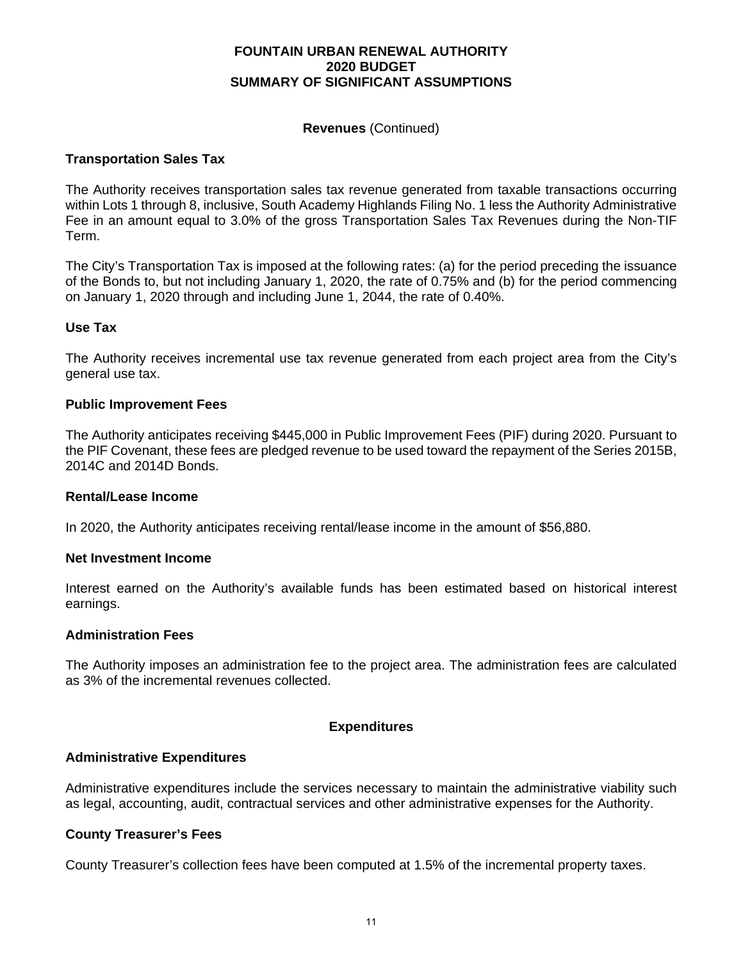#### **Revenues** (Continued)

#### **Transportation Sales Tax**

The Authority receives transportation sales tax revenue generated from taxable transactions occurring within Lots 1 through 8, inclusive, South Academy Highlands Filing No. 1 less the Authority Administrative Fee in an amount equal to 3.0% of the gross Transportation Sales Tax Revenues during the Non-TIF Term.

The City's Transportation Tax is imposed at the following rates: (a) for the period preceding the issuance of the Bonds to, but not including January 1, 2020, the rate of 0.75% and (b) for the period commencing on January 1, 2020 through and including June 1, 2044, the rate of 0.40%.

#### **Use Tax**

The Authority receives incremental use tax revenue generated from each project area from the City's general use tax.

#### **Public Improvement Fees**

The Authority anticipates receiving \$445,000 in Public Improvement Fees (PIF) during 2020. Pursuant to the PIF Covenant, these fees are pledged revenue to be used toward the repayment of the Series 2015B, 2014C and 2014D Bonds.

#### **Rental/Lease Income**

In 2020, the Authority anticipates receiving rental/lease income in the amount of \$56,880.

#### **Net Investment Income**

Interest earned on the Authority's available funds has been estimated based on historical interest earnings.

#### **Administration Fees**

The Authority imposes an administration fee to the project area. The administration fees are calculated as 3% of the incremental revenues collected.

#### **Expenditures**

#### **Administrative Expenditures**

Administrative expenditures include the services necessary to maintain the administrative viability such as legal, accounting, audit, contractual services and other administrative expenses for the Authority.

### **County Treasurer's Fees**

County Treasurer's collection fees have been computed at 1.5% of the incremental property taxes.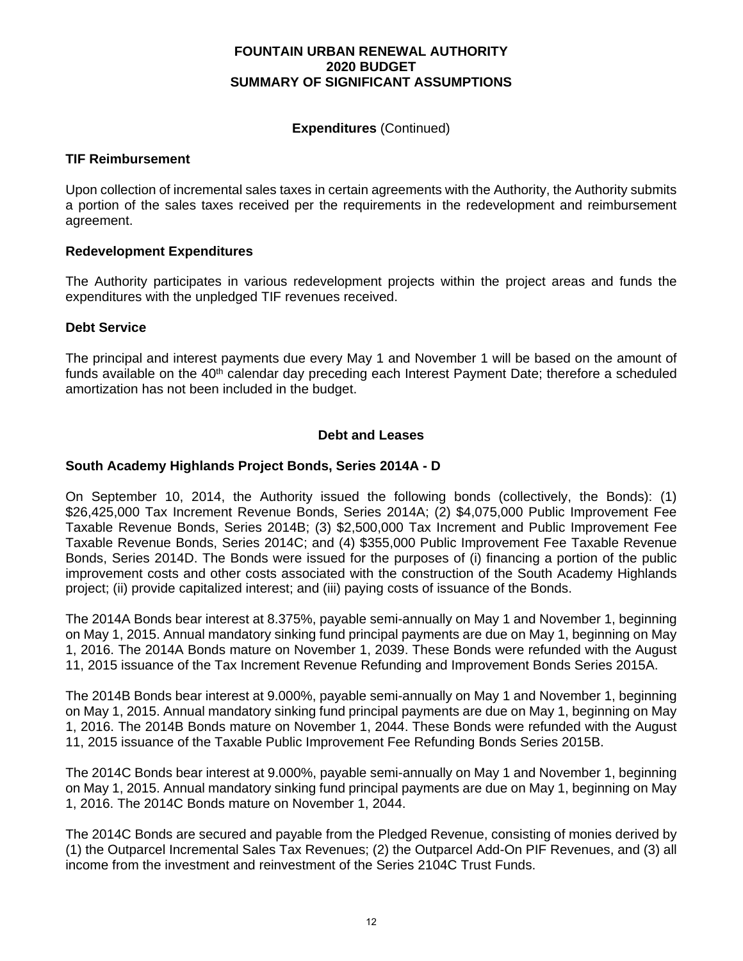## **Expenditures** (Continued)

## **TIF Reimbursement**

Upon collection of incremental sales taxes in certain agreements with the Authority, the Authority submits a portion of the sales taxes received per the requirements in the redevelopment and reimbursement agreement.

## **Redevelopment Expenditures**

The Authority participates in various redevelopment projects within the project areas and funds the expenditures with the unpledged TIF revenues received.

## **Debt Service**

The principal and interest payments due every May 1 and November 1 will be based on the amount of funds available on the 40<sup>th</sup> calendar day preceding each Interest Payment Date; therefore a scheduled amortization has not been included in the budget.

## **Debt and Leases**

## **South Academy Highlands Project Bonds, Series 2014A - D**

On September 10, 2014, the Authority issued the following bonds (collectively, the Bonds): (1) \$26,425,000 Tax Increment Revenue Bonds, Series 2014A; (2) \$4,075,000 Public Improvement Fee Taxable Revenue Bonds, Series 2014B; (3) \$2,500,000 Tax Increment and Public Improvement Fee Taxable Revenue Bonds, Series 2014C; and (4) \$355,000 Public Improvement Fee Taxable Revenue Bonds, Series 2014D. The Bonds were issued for the purposes of (i) financing a portion of the public improvement costs and other costs associated with the construction of the South Academy Highlands project; (ii) provide capitalized interest; and (iii) paying costs of issuance of the Bonds.

The 2014A Bonds bear interest at 8.375%, payable semi-annually on May 1 and November 1, beginning on May 1, 2015. Annual mandatory sinking fund principal payments are due on May 1, beginning on May 1, 2016. The 2014A Bonds mature on November 1, 2039. These Bonds were refunded with the August 11, 2015 issuance of the Tax Increment Revenue Refunding and Improvement Bonds Series 2015A.

The 2014B Bonds bear interest at 9.000%, payable semi-annually on May 1 and November 1, beginning on May 1, 2015. Annual mandatory sinking fund principal payments are due on May 1, beginning on May 1, 2016. The 2014B Bonds mature on November 1, 2044. These Bonds were refunded with the August 11, 2015 issuance of the Taxable Public Improvement Fee Refunding Bonds Series 2015B.

The 2014C Bonds bear interest at 9.000%, payable semi-annually on May 1 and November 1, beginning on May 1, 2015. Annual mandatory sinking fund principal payments are due on May 1, beginning on May 1, 2016. The 2014C Bonds mature on November 1, 2044.

The 2014C Bonds are secured and payable from the Pledged Revenue, consisting of monies derived by (1) the Outparcel Incremental Sales Tax Revenues; (2) the Outparcel Add-On PIF Revenues, and (3) all income from the investment and reinvestment of the Series 2104C Trust Funds.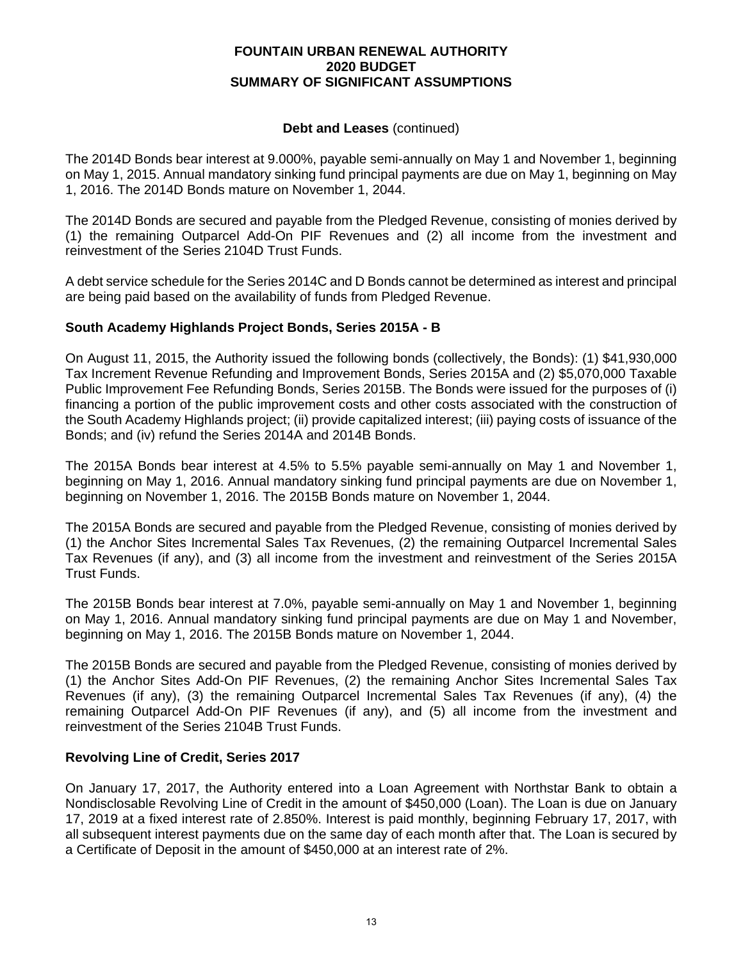## **Debt and Leases** (continued)

The 2014D Bonds bear interest at 9.000%, payable semi-annually on May 1 and November 1, beginning on May 1, 2015. Annual mandatory sinking fund principal payments are due on May 1, beginning on May 1, 2016. The 2014D Bonds mature on November 1, 2044.

The 2014D Bonds are secured and payable from the Pledged Revenue, consisting of monies derived by (1) the remaining Outparcel Add-On PIF Revenues and (2) all income from the investment and reinvestment of the Series 2104D Trust Funds.

A debt service schedule for the Series 2014C and D Bonds cannot be determined as interest and principal are being paid based on the availability of funds from Pledged Revenue.

# **South Academy Highlands Project Bonds, Series 2015A - B**

On August 11, 2015, the Authority issued the following bonds (collectively, the Bonds): (1) \$41,930,000 Tax Increment Revenue Refunding and Improvement Bonds, Series 2015A and (2) \$5,070,000 Taxable Public Improvement Fee Refunding Bonds, Series 2015B. The Bonds were issued for the purposes of (i) financing a portion of the public improvement costs and other costs associated with the construction of the South Academy Highlands project; (ii) provide capitalized interest; (iii) paying costs of issuance of the Bonds; and (iv) refund the Series 2014A and 2014B Bonds.

The 2015A Bonds bear interest at 4.5% to 5.5% payable semi-annually on May 1 and November 1, beginning on May 1, 2016. Annual mandatory sinking fund principal payments are due on November 1, beginning on November 1, 2016. The 2015B Bonds mature on November 1, 2044.

The 2015A Bonds are secured and payable from the Pledged Revenue, consisting of monies derived by (1) the Anchor Sites Incremental Sales Tax Revenues, (2) the remaining Outparcel Incremental Sales Tax Revenues (if any), and (3) all income from the investment and reinvestment of the Series 2015A Trust Funds.

The 2015B Bonds bear interest at 7.0%, payable semi-annually on May 1 and November 1, beginning on May 1, 2016. Annual mandatory sinking fund principal payments are due on May 1 and November, beginning on May 1, 2016. The 2015B Bonds mature on November 1, 2044.

The 2015B Bonds are secured and payable from the Pledged Revenue, consisting of monies derived by (1) the Anchor Sites Add-On PIF Revenues, (2) the remaining Anchor Sites Incremental Sales Tax Revenues (if any), (3) the remaining Outparcel Incremental Sales Tax Revenues (if any), (4) the remaining Outparcel Add-On PIF Revenues (if any), and (5) all income from the investment and reinvestment of the Series 2104B Trust Funds.

# **Revolving Line of Credit, Series 2017**

On January 17, 2017, the Authority entered into a Loan Agreement with Northstar Bank to obtain a Nondisclosable Revolving Line of Credit in the amount of \$450,000 (Loan). The Loan is due on January 17, 2019 at a fixed interest rate of 2.850%. Interest is paid monthly, beginning February 17, 2017, with all subsequent interest payments due on the same day of each month after that. The Loan is secured by a Certificate of Deposit in the amount of \$450,000 at an interest rate of 2%.